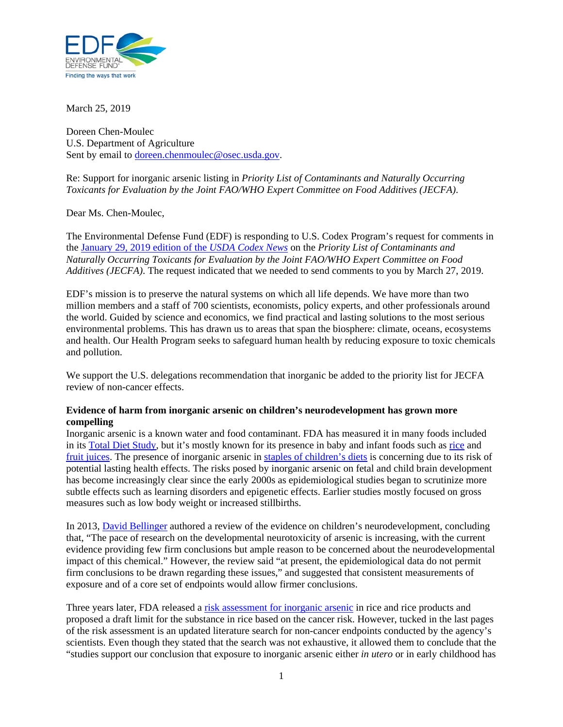

March 25, 2019

Doreen Chen-Moulec U.S. Department of Agriculture Sent by email to doreen.chenmoulec@osec.usda.gov.

Re: Support for inorganic arsenic listing in *Priority List of Contaminants and Naturally Occurring Toxicants for Evaluation by the Joint FAO/WHO Expert Committee on Food Additives (JECFA)*.

Dear Ms. Chen-Moulec,

The Environmental Defense Fund (EDF) is responding to U.S. Codex Program's request for comments in the January 29, 2019 edition of the *USDA Codex News* on the *Priority List of Contaminants and Naturally Occurring Toxicants for Evaluation by the Joint FAO/WHO Expert Committee on Food Additives (JECFA)*. The request indicated that we needed to send comments to you by March 27, 2019.

EDF's mission is to preserve the natural systems on which all life depends. We have more than two million members and a staff of 700 scientists, economists, policy experts, and other professionals around the world. Guided by science and economics, we find practical and lasting solutions to the most serious environmental problems. This has drawn us to areas that span the biosphere: climate, oceans, ecosystems and health. Our Health Program seeks to safeguard human health by reducing exposure to toxic chemicals and pollution.

We support the U.S. delegations recommendation that inorganic be added to the priority list for JECFA review of non-cancer effects.

## **Evidence of harm from inorganic arsenic on children's neurodevelopment has grown more compelling**

Inorganic arsenic is a known water and food contaminant. FDA has measured it in many foods included in its Total Diet Study, but it's mostly known for its presence in baby and infant foods such as rice and fruit juices. The presence of inorganic arsenic in staples of children's diets is concerning due to its risk of potential lasting health effects. The risks posed by inorganic arsenic on fetal and child brain development has become increasingly clear since the early 2000s as epidemiological studies began to scrutinize more subtle effects such as learning disorders and epigenetic effects. Earlier studies mostly focused on gross measures such as low body weight or increased stillbirths.

In 2013, David Bellinger authored a review of the evidence on children's neurodevelopment, concluding that, "The pace of research on the developmental neurotoxicity of arsenic is increasing, with the current evidence providing few firm conclusions but ample reason to be concerned about the neurodevelopmental impact of this chemical." However, the review said "at present, the epidemiological data do not permit firm conclusions to be drawn regarding these issues," and suggested that consistent measurements of exposure and of a core set of endpoints would allow firmer conclusions.

Three years later, FDA released a risk assessment for inorganic arsenic in rice and rice products and proposed a draft limit for the substance in rice based on the cancer risk. However, tucked in the last pages of the risk assessment is an updated literature search for non-cancer endpoints conducted by the agency's scientists. Even though they stated that the search was not exhaustive, it allowed them to conclude that the "studies support our conclusion that exposure to inorganic arsenic either *in utero* or in early childhood has